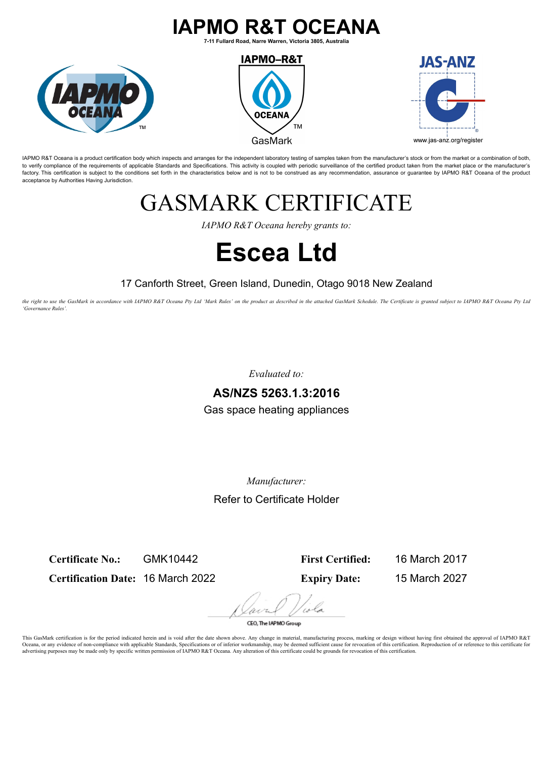### **IAPMO R&T OCEANA**

**7-11 Fullard Road, Narre Warren, Victoria 3805, Australia**







IAPMO R&T Oceana is a product certification body which inspects and arranges for the independent laboratory testing of samples taken from the manufacturer's stock or from the market or a combination of both, to verify compliance of the requirements of applicable Standards and Specifications. This activity is coupled with periodic surveillance of the certified product taken from the market place or the manufacturer's factory. This certification is subject to the conditions set forth in the characteristics below and is not to be construed as any recommendation, assurance or quarantee by IAPMO R&T Oceana of the product acceptance by Authorities Having Jurisdiction.

## GASMARK CERTIFICATE

*IAPMO R&T Oceana hereby grants to:*

# **Escea Ltd**

#### 17 Canforth Street, Green Island, Dunedin, Otago 9018 New Zealand

*the right to use the GasMark in accordance with IAPMO R&T Oceana Pty Ltd 'Mark Rules' on the product as described in the attached GasMark Schedule. The Certificate is granted subject to IAPMO R&T Oceana Pty Ltd 'Governance Rules'.*

*Evaluated to:*

#### **AS/NZS 5263.1.3:2016**

Gas space heating appliances

*Manufacturer:*

Refer to Certificate Holder

**Certificate No.:** GMK10442

**Certification Date:** 16 March 2022

**First Certified:** 16 March 2017 **Expiry Date:** 15 March 2027

CEO. The IAPMO Group

This GasMark certification is for the period indicated herein and is void after the date shown above. Any change in material, manufacturing process, marking or design without having first obtained the approval of IAPMO R&T Oceana, or any evidence of non-compliance with applicable Standards, Specifications or of inferior workmanship, may be deemed sufficient cause for revocation of this certification. Reproduction of or reference to this cert advertising purposes may be made only by specific written permission of IAPMO R&T Oceana. Any alteration of this certificate could be grounds for revocation of this certification.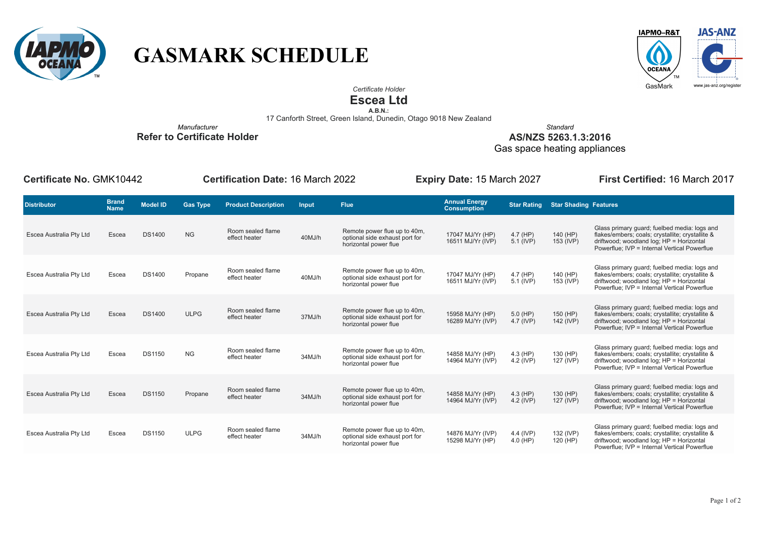

## **GASMARK SCHEDULE**



*Certificate Holder*

#### **Escea Ltd**

**A.B.N.:**<br>17 Canforth Street, Green Island, Dunedin, Otago 9018 New Zealand

*Manufacturer* **Refer to Certificate Holder**

*Standard* **AS/NZS 5263.1.3:2016**

Gas space heating appliances

**Certificate No.** GMK10442 **Certification Date:** 16 March 2022 **Expiry Date:** 15 March 2027 **First Certified:** 16 March 2017

| <b>Distributor</b>      | <b>Brand</b><br><b>Name</b> | <b>Model ID</b> | <b>Gas Type</b> | <b>Product Description</b>         | Input  | <b>Flue</b>                                                                             | <b>Annual Energy</b><br><b>Consumption</b> | <b>Star Rating</b>      | <b>Star Shading Features</b> |                                                                                                                                                                                              |
|-------------------------|-----------------------------|-----------------|-----------------|------------------------------------|--------|-----------------------------------------------------------------------------------------|--------------------------------------------|-------------------------|------------------------------|----------------------------------------------------------------------------------------------------------------------------------------------------------------------------------------------|
| Escea Australia Pty Ltd | Escea                       | <b>DS1400</b>   | <b>NG</b>       | Room sealed flame<br>effect heater | 40MJ/h | Remote power flue up to 40m,<br>optional side exhaust port for<br>horizontal power flue | 17047 MJ/Yr (HP)<br>16511 MJ/Yr (IVP)      | $4.7$ (HP)<br>5.1 (IVP) | 140 (HP)<br>153 (IVP)        | Glass primary quard; fuelbed media: logs and<br>flakes/embers; coals; crystallite; crystallite &<br>driftwood; woodland log; HP = Horizontal<br>Powerflue; IVP = Internal Vertical Powerflue |
| Escea Australia Pty Ltd | Escea                       | <b>DS1400</b>   | Propane         | Room sealed flame<br>effect heater | 40MJ/h | Remote power flue up to 40m,<br>optional side exhaust port for<br>horizontal power flue | 17047 MJ/Yr (HP)<br>16511 MJ/Yr (IVP)      | 4.7 (HP)<br>5.1 (IVP)   | 140 (HP)<br>153 (IVP)        | Glass primary guard; fuelbed media: logs and<br>flakes/embers; coals; crystallite; crystallite &<br>driftwood; woodland log; HP = Horizontal<br>Powerflue; IVP = Internal Vertical Powerflue |
| Escea Australia Pty Ltd | Escea                       | <b>DS1400</b>   | <b>ULPG</b>     | Room sealed flame<br>effect heater | 37MJ/h | Remote power flue up to 40m,<br>optional side exhaust port for<br>horizontal power flue | 15958 MJ/Yr (HP)<br>16289 MJ/Yr (IVP)      | $5.0$ (HP)<br>4.7 (IVP) | 150 (HP)<br>142 (IVP)        | Glass primary quard; fuelbed media: logs and<br>flakes/embers; coals; crystallite; crystallite &<br>driftwood; woodland log; HP = Horizontal<br>Powerflue; IVP = Internal Vertical Powerflue |
| Escea Australia Pty Ltd | Escea                       | <b>DS1150</b>   | <b>NG</b>       | Room sealed flame<br>effect heater | 34MJ/h | Remote power flue up to 40m,<br>optional side exhaust port for<br>horizontal power flue | 14858 MJ/Yr (HP)<br>14964 MJ/Yr (IVP)      | $4.3$ (HP)<br>4.2 (IVP) | 130 (HP)<br>127 (IVP)        | Glass primary quard; fuelbed media: logs and<br>flakes/embers; coals; crystallite; crystallite &<br>driftwood; woodland log; HP = Horizontal<br>Powerflue; IVP = Internal Vertical Powerflue |
| Escea Australia Pty Ltd | Escea                       | <b>DS1150</b>   | Propane         | Room sealed flame<br>effect heater | 34MJ/h | Remote power flue up to 40m,<br>optional side exhaust port for<br>horizontal power flue | 14858 MJ/Yr (HP)<br>14964 MJ/Yr (IVP)      | $4.3$ (HP)<br>4.2 (IVP) | 130 (HP)<br>127 (IVP)        | Glass primary quard; fuelbed media: logs and<br>flakes/embers; coals; crystallite; crystallite &<br>driftwood; woodland log; HP = Horizontal<br>Powerflue; IVP = Internal Vertical Powerflue |
| Escea Australia Pty Ltd | Escea                       | <b>DS1150</b>   | <b>ULPG</b>     | Room sealed flame<br>effect heater | 34MJ/h | Remote power flue up to 40m,<br>optional side exhaust port for<br>horizontal power flue | 14876 MJ/Yr (IVP)<br>15298 MJ/Yr (HP)      | 4.4 (IVP)<br>$4.0$ (HP) | 132 (IVP)<br>120 (HP)        | Glass primary guard; fuelbed media: logs and<br>flakes/embers; coals; crystallite; crystallite &<br>driftwood; woodland log; HP = Horizontal<br>Powerflue; IVP = Internal Vertical Powerflue |